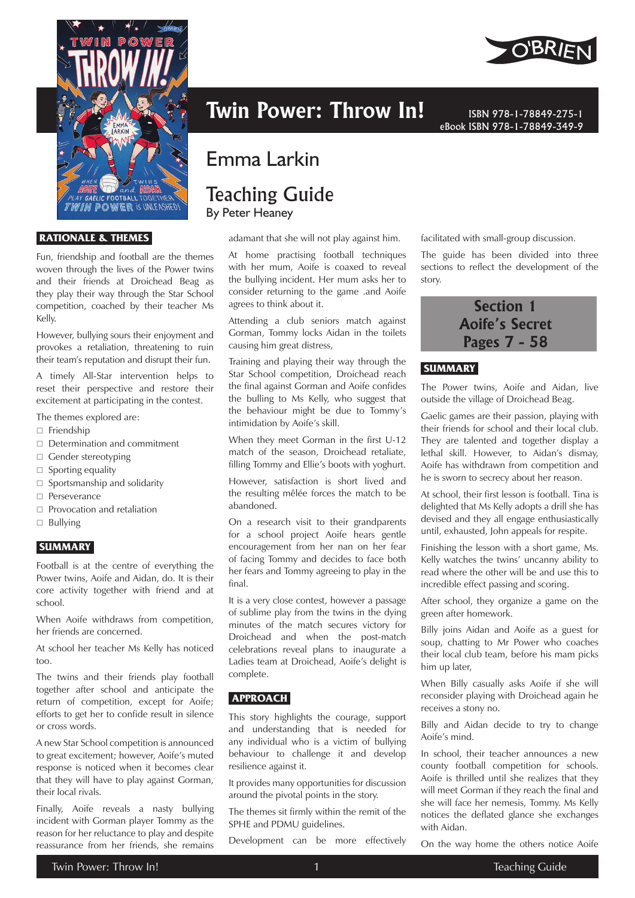

#### **RATIONALE & THEMES**

Fun, friendship and football are the themes woven through the lives of the Power twins and their friends at Droichead Beag as they play their way through the Star School competition, coached by their teacher Ms Kelly.

However, bullying sours their enjoyment and provokes a retaliation, threatening to ruin their team's reputation and disrupt their fun.

A timely All-Star intervention helps to reset their perspective and restore their excitement at participating in the contest.

The themes explored are:

- □ Friendship
- $\Box$  Determination and commitment
- $\Box$  Gender stereotyping
- $\Box$  Sporting equality
- $\Box$  Sportsmanship and solidarity
- Perseverance
- $\Box$  Provocation and retaliation
- $\Box$  Bullying

#### **SUMMARY**

Football is at the centre of everything the Power twins, Aoife and Aidan, do. It is their core activity together with friend and at school.

When Aoife withdraws from competition, her friends are concerned.

At school her teacher Ms Kelly has noticed too.

The twins and their friends play football together after school and anticipate the return of competition, except for Aoife; efforts to get her to confide result in silence or cross words.

A new Star School competition is announced to great excitement; however, Aoife's muted response is noticed when it becomes clear that they will have to play against Gorman, their local rivals.

Finally, Aoife reveals a nasty bullying incident with Gorman player Tommy as the reason for her reluctance to play and despite reassurance from her friends, she remains



# Emma Larkin

# Teaching Guide

By Peter Heaney

adamant that she will not play against him.

At home practising football techniques with her mum, Aoife is coaxed to reveal the bullying incident. Her mum asks her to consider returning to the game .and Aoife agrees to think about it.

Attending a club seniors match against Gorman, Tommy locks Aidan in the toilets causing him great distress,

Training and playing their way through the Star School competition, Droichead reach the final against Gorman and Aoife confides the bulling to Ms Kelly, who suggest that the behaviour might be due to Tommy's intimidation by Aoife's skill.

When they meet Gorman in the first U-12 match of the season, Droichead retaliate, filling Tommy and Ellie's boots with yoghurt.

However, satisfaction is short lived and the resulting mêlée forces the match to be abandoned.

On a research visit to their grandparents for a school project Aoife hears gentle encouragement from her nan on her fear of facing Tommy and decides to face both her fears and Tommy agreeing to play in the final.

It is a very close contest, however a passage of sublime play from the twins in the dying minutes of the match secures victory for Droichead and when the post-match celebrations reveal plans to inaugurate a Ladies team at Droichead, Aoife's delight is complete.

# **APPROACH**

This story highlights the courage, support and understanding that is needed for any individual who is a victim of bullying behaviour to challenge it and develop resilience against it.

It provides many opportunities for discussion around the pivotal points in the story.

The themes sit firmly within the remit of the SPHE and PDMU guidelines.

Development can be more effectively

eBook ISBN 978-1-78849-349-9

facilitated with small-group discussion.

The guide has been divided into three sections to reflect the development of the story.



# **SUMMARY**

The Power twins, Aoife and Aidan, live outside the village of Droichead Beag.

Gaelic games are their passion, playing with their friends for school and their local club. They are talented and together display a lethal skill. However, to Aidan's dismay, Aoife has withdrawn from competition and he is sworn to secrecy about her reason.

At school, their first lesson is football. Tina is delighted that Ms Kelly adopts a drill she has devised and they all engage enthusiastically until, exhausted, John appeals for respite.

Finishing the lesson with a short game, Ms. Kelly watches the twins' uncanny ability to read where the other will be and use this to incredible effect passing and scoring.

After school, they organize a game on the green after homework.

Billy joins Aidan and Aoife as a guest for soup, chatting to Mr Power who coaches their local club team, before his mam picks him up later,

When Billy casually asks Aoife if she will reconsider playing with Droichead again he receives a stony no.

Billy and Aidan decide to try to change Aoife's mind.

In school, their teacher announces a new county football competition for schools. Aoife is thrilled until she realizes that they will meet Gorman if they reach the final and she will face her nemesis, Tommy. Ms Kelly notices the deflated glance she exchanges with Aidan.

On the way home the others notice Aoife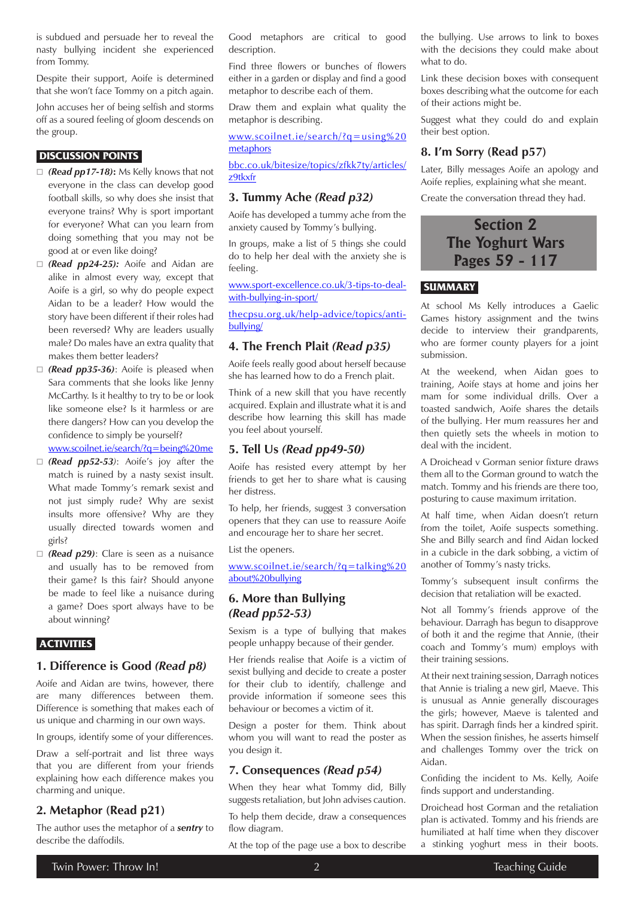is subdued and persuade her to reveal the nasty bullying incident she experienced from Tommy.

Despite their support, Aoife is determined that she won't face Tommy on a pitch again.

John accuses her of being selfish and storms off as a soured feeling of gloom descends on the group.

#### **DISCUSSION POINTS**

- *(Read pp17-18)***:** Ms Kelly knows that not everyone in the class can develop good football skills, so why does she insist that everyone trains? Why is sport important for everyone? What can you learn from doing something that you may not be good at or even like doing?
- *(Read pp24-25):* Aoife and Aidan are alike in almost every way, except that Aoife is a girl, so why do people expect Aidan to be a leader? How would the story have been different if their roles had been reversed? Why are leaders usually male? Do males have an extra quality that makes them better leaders?
- *(Read pp35-36)*: Aoife is pleased when Sara comments that she looks like Jenny McCarthy. Is it healthy to try to be or look like someone else? Is it harmless or are there dangers? How can you develop the confidence to simply be yourself?

[www.scoilnet.ie/search/?q=being%20me](https://www.scoilnet.ie/search/?q=being%20me)

- *(Read pp52-53)*: Aoife's joy after the match is ruined by a nasty sexist insult. What made Tommy's remark sexist and not just simply rude? Why are sexist insults more offensive? Why are they usually directed towards women and girls?
- *(Read p29)*: Clare is seen as a nuisance and usually has to be removed from their game? Is this fair? Should anyone be made to feel like a nuisance during a game? Does sport always have to be about winning?

#### **ACTIVITIES**

#### **1. Difference is Good** *(Read p8)*

Aoife and Aidan are twins, however, there are many differences between them. Difference is something that makes each of us unique and charming in our own ways.

In groups, identify some of your differences.

Draw a self-portrait and list three ways that you are different from your friends explaining how each difference makes you charming and unique.

#### **2. Metaphor (Read p21)**

The author uses the metaphor of a *sentry* to describe the daffodils.

Good metaphors are critical to good description.

Find three flowers or bunches of flowers either in a garden or display and find a good metaphor to describe each of them.

Draw them and explain what quality the metaphor is describing.

www.[scoilnet.ie/search/?q=using%20](https://www.scoilnet.ie/search/?q=using%20metaphors) [metaphors](https://www.scoilnet.ie/search/?q=using%20metaphors)

[bbc.co.uk/bitesize/topics/zfkk7ty/articles/](https://www.bbc.co.uk/bitesize/topics/zfkk7ty/articles/z9tkxfr) [z9tkxfr](https://www.bbc.co.uk/bitesize/topics/zfkk7ty/articles/z9tkxfr)

#### **3. Tummy Ache** *(Read p32)*

Aoife has developed a tummy ache from the anxiety caused by Tommy's bullying.

In groups, make a list of 5 things she could do to help her deal with the anxiety she is feeling.

[www.sport-excellence.co.uk/3-tips-to-deal](https://www.sport-excellence.co.uk/3-tips-to-deal-with-bullying-in-sport/)[with-bullying-in-sport/](https://www.sport-excellence.co.uk/3-tips-to-deal-with-bullying-in-sport/)

[thecpsu.org.uk/help-advice/topics/anti](https://thecpsu.org.uk/help-advice/topics/anti-bullying/)[bullying/](https://thecpsu.org.uk/help-advice/topics/anti-bullying/)

#### **4. The French Plait** *(Read p35)*

Aoife feels really good about herself because she has learned how to do a French plait.

Think of a new skill that you have recently acquired. Explain and illustrate what it is and describe how learning this skill has made you feel about yourself.

## **5. Tell Us** *(Read pp49-50)*

Aoife has resisted every attempt by her friends to get her to share what is causing her distress.

To help, her friends, suggest 3 conversation openers that they can use to reassure Aoife and encourage her to share her secret.

List the openers.

[www.scoilnet.ie/search/?q=talking%20](https://www.scoilnet.ie/search/?q=talking%20about%20bullying) [about%20bullying](https://www.scoilnet.ie/search/?q=talking%20about%20bullying)

## **6. More than Bullying**  *(Read pp52-53)*

Sexism is a type of bullying that makes people unhappy because of their gender.

Her friends realise that Aoife is a victim of sexist bullying and decide to create a poster for their club to identify, challenge and provide information if someone sees this behaviour or becomes a victim of it.

Design a poster for them. Think about whom you will want to read the poster as you design it.

#### **7. Consequences** *(Read p54)*

When they hear what Tommy did, Billy suggests retaliation, but John advises caution.

To help them decide, draw a consequences flow diagram.

At the top of the page use a box to describe

the bullying. Use arrows to link to boxes with the decisions they could make about what to do.

Link these decision boxes with consequent boxes describing what the outcome for each of their actions might be.

Suggest what they could do and explain their best option.

#### **8. I'm Sorry (Read p57)**

Later, Billy messages Aoife an apology and Aoife replies, explaining what she meant.

Create the conversation thread they had.

# **Section 2 The Yoghurt Wars Pages 59 - 117**

# **SUMMARY**

At school Ms Kelly introduces a Gaelic Games history assignment and the twins decide to interview their grandparents, who are former county players for a joint submission.

At the weekend, when Aidan goes to training, Aoife stays at home and joins her mam for some individual drills. Over a toasted sandwich, Aoife shares the details of the bullying. Her mum reassures her and then quietly sets the wheels in motion to deal with the incident.

A Droichead v Gorman senior fixture draws them all to the Gorman ground to watch the match. Tommy and his friends are there too, posturing to cause maximum irritation.

At half time, when Aidan doesn't return from the toilet, Aoife suspects something. She and Billy search and find Aidan locked in a cubicle in the dark sobbing, a victim of another of Tommy's nasty tricks.

Tommy's subsequent insult confirms the decision that retaliation will be exacted.

Not all Tommy's friends approve of the behaviour. Darragh has begun to disapprove of both it and the regime that Annie, (their coach and Tommy's mum) employs with their training sessions.

At their next training session, Darragh notices that Annie is trialing a new girl, Maeve. This is unusual as Annie generally discourages the girls; however, Maeve is talented and has spirit. Darragh finds her a kindred spirit. When the session finishes, he asserts himself and challenges Tommy over the trick on Aidan.

Confiding the incident to Ms. Kelly, Aoife finds support and understanding.

Droichead host Gorman and the retaliation plan is activated. Tommy and his friends are humiliated at half time when they discover a stinking yoghurt mess in their boots.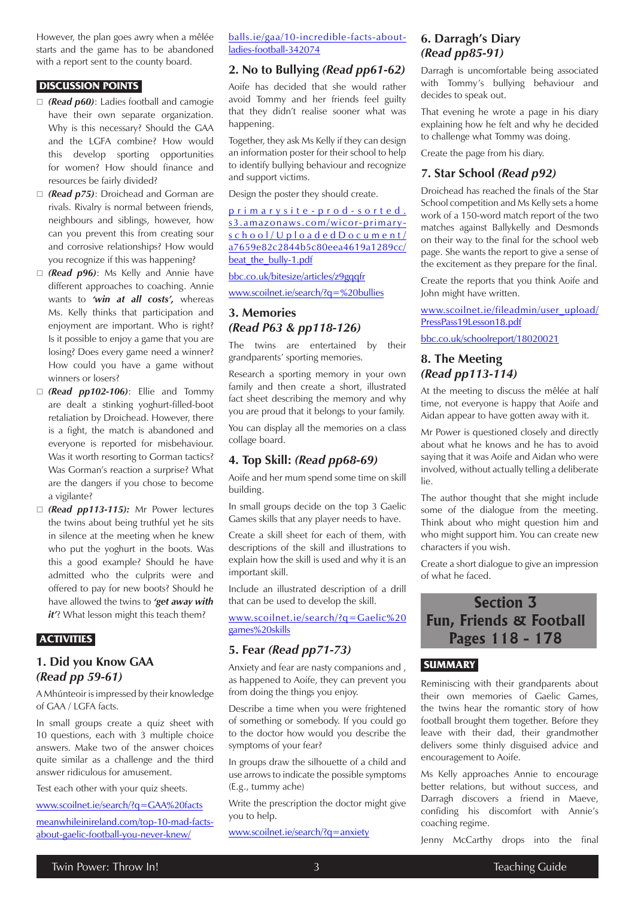However, the plan goes awry when a mêlée starts and the game has to be abandoned with a report sent to the county board.

#### **DISCUSSION POINTS**

- *(Read p60)*: Ladies football and camogie have their own separate organization. Why is this necessary? Should the GAA and the LGFA combine? How would this develop sporting opportunities for women? How should finance and resources be fairly divided?
- *(Read p75)*: Droichead and Gorman are rivals. Rivalry is normal between friends, neighbours and siblings, however, how can you prevent this from creating sour and corrosive relationships? How would you recognize if this was happening?
- *(Read p96)*: Ms Kelly and Annie have different approaches to coaching. Annie wants to *'win at all costs',* whereas Ms. Kelly thinks that participation and enjoyment are important. Who is right? Is it possible to enjoy a game that you are losing? Does every game need a winner? How could you have a game without winners or losers?
- *(Read pp102-106)*: Ellie and Tommy are dealt a stinking yoghurt-filled-boot retaliation by Droichead. However, there is a fight, the match is abandoned and everyone is reported for misbehaviour. Was it worth resorting to Gorman tactics? Was Gorman's reaction a surprise? What are the dangers if you chose to become a vigilante?
- *(Read pp113-115):* Mr Power lectures the twins about being truthful yet he sits in silence at the meeting when he knew who put the yoghurt in the boots. Was this a good example? Should he have admitted who the culprits were and offered to pay for new boots? Should he have allowed the twins to *'get away with it*'? What lesson might this teach them?

#### **ACTIVITIES**

# **1. Did you Know GAA**  *(Read pp 59-61)*

A Mhúnteoir is impressed by their knowledge of GAA / LGFA facts.

In small groups create a quiz sheet with 10 questions, each with 3 multiple choice answers. Make two of the answer choices quite similar as a challenge and the third answer ridiculous for amusement.

Test each other with your quiz sheets.

[www.scoilnet.ie/search/?q=GAA%20facts](https://www.scoilnet.ie/search/?q=GAA%20facts)

[meanwhileinireland.com/top-10-mad-facts](https://www.meanwhileinireland.com/top-10-mad-facts-about-gaelic-football-you-never-knew/)[about-gaelic-football-you-never-knew/](https://www.meanwhileinireland.com/top-10-mad-facts-about-gaelic-football-you-never-knew/)

[balls.ie/gaa/10-incredible-facts-about](https://www.balls.ie/gaa/10-incredible-facts-about-ladies-football-342074)[ladies-football-342074](https://www.balls.ie/gaa/10-incredible-facts-about-ladies-football-342074)

## **2. No to Bullying** *(Read pp61-62)*

Aoife has decided that she would rather avoid Tommy and her friends feel guilty that they didn't realise sooner what was happening.

Together, they ask Ms Kelly if they can design an information poster for their school to help to identify bullying behaviour and recognize and support victims.

Design the poster they should create.

#### [primarysite-prod-sorted.](https://primarysite-prod-sorted.s3.amazonaws.com/wicor-primary-school/UploadedDocument/a7659e82c2844b5c80eea4619a1289cc/beat_the_bully-1.pdf) [s3.amazonaws.com/wicor-primary](https://primarysite-prod-sorted.s3.amazonaws.com/wicor-primary-school/UploadedDocument/a7659e82c2844b5c80eea4619a1289cc/beat_the_bully-1.pdf)[school/UploadedDocument/](https://primarysite-prod-sorted.s3.amazonaws.com/wicor-primary-school/UploadedDocument/a7659e82c2844b5c80eea4619a1289cc/beat_the_bully-1.pdf) [a7659e82c2844b5c80eea4619a1289cc/](https://primarysite-prod-sorted.s3.amazonaws.com/wicor-primary-school/UploadedDocument/a7659e82c2844b5c80eea4619a1289cc/beat_the_bully-1.pdf) [beat\\_the\\_bully-1.pdf](https://primarysite-prod-sorted.s3.amazonaws.com/wicor-primary-school/UploadedDocument/a7659e82c2844b5c80eea4619a1289cc/beat_the_bully-1.pdf)

[bbc.co.uk/bitesize/articles/z9gqqfr](https://www.bbc.co.uk/bitesize/articles/z9gqqfr)

[www.scoilnet.ie/search/?q=%20bullies](https://www.scoilnet.ie/search/?q=%20bullies)

# **3. Memories**  *(Read P63 & pp118-126)*

The twins are entertained by their grandparents' sporting memories.

Research a sporting memory in your own family and then create a short, illustrated fact sheet describing the memory and why you are proud that it belongs to your family.

You can display all the memories on a class collage board.

#### **4. Top Skill:** *(Read pp68-69)*

Aoife and her mum spend some time on skill building.

In small groups decide on the top 3 Gaelic Games skills that any player needs to have.

Create a skill sheet for each of them, with descriptions of the skill and illustrations to explain how the skill is used and why it is an important skill.

Include an illustrated description of a drill that can be used to develop the skill.

[www.scoilnet.ie/search/?q=Gaelic%20](https://www.scoilnet.ie/search/?q=Gaelic%20games%20skills) [games%20skills](https://www.scoilnet.ie/search/?q=Gaelic%20games%20skills)

# **5. Fear** *(Read pp71-73)*

Anxiety and fear are nasty companions and , as happened to Aoife, they can prevent you from doing the things you enjoy.

Describe a time when you were frightened of something or somebody. If you could go to the doctor how would you describe the symptoms of your fear?

In groups draw the silhouette of a child and use arrows to indicate the possible symptoms (E.g., tummy ache)

Write the prescription the doctor might give you to help.

[www.scoilnet.ie/search/?q=anxiety](https://www.scoilnet.ie/search/?q=anxiety)

## **6. Darragh's Diary**  *(Read pp85-91)*

Darragh is uncomfortable being associated with Tommy's bullying behaviour and decides to speak out.

That evening he wrote a page in his diary explaining how he felt and why he decided to challenge what Tommy was doing.

Create the page from his diary.

#### **7. Star School** *(Read p92)*

Droichead has reached the finals of the Star School competition and Ms Kelly sets a home work of a 150-word match report of the two matches against Ballykelly and Desmonds on their way to the final for the school web page. She wants the report to give a sense of the excitement as they prepare for the final.

Create the reports that you think Aoife and John might have written.

[www.scoilnet.ie/fileadmin/user\\_upload/](https://www.scoilnet.ie/fileadmin/user_upload/PressPass19Lesson18.pdf) [PressPass19Lesson18.pdf](https://www.scoilnet.ie/fileadmin/user_upload/PressPass19Lesson18.pdf)

[bbc.co.uk/schoolreport/18020021](https://www.bbc.co.uk/schoolreport/18020021)

## **8. The Meeting**  *(Read pp113-114)*

At the meeting to discuss the mêlée at half time, not everyone is happy that Aoife and Aidan appear to have gotten away with it.

Mr Power is questioned closely and directly about what he knows and he has to avoid saying that it was Aoife and Aidan who were involved, without actually telling a deliberate lie.

The author thought that she might include some of the dialogue from the meeting. Think about who might question him and who might support him. You can create new characters if you wish.

Create a short dialogue to give an impression of what he faced.

# **Section 3 Fun, Friends & Football Pages 118 - 178**

#### **SUMMARY**

Reminiscing with their grandparents about their own memories of Gaelic Games, the twins hear the romantic story of how football brought them together. Before they leave with their dad, their grandmother delivers some thinly disguised advice and encouragement to Aoife.

Ms Kelly approaches Annie to encourage better relations, but without success, and Darragh discovers a friend in Maeve, confiding his discomfort with Annie's coaching regime.

Jenny McCarthy drops into the final